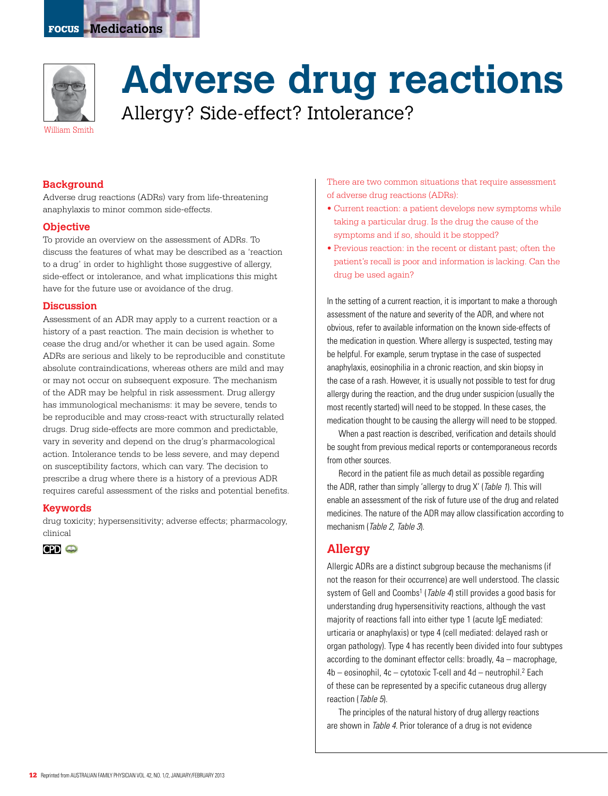



# **Adverse drug reactions**

Allergy? Side-effect? Intolerance?

**Background**

Adverse drug reactions (ADRs) vary from life-threatening anaphylaxis to minor common side-effects.

# **Objective**

To provide an overview on the assessment of ADRs. To discuss the features of what may be described as a 'reaction to a drug' in order to highlight those suggestive of allergy, side-effect or intolerance, and what implications this might have for the future use or avoidance of the drug.

## **Discussion**

Assessment of an ADR may apply to a current reaction or a history of a past reaction. The main decision is whether to cease the drug and/or whether it can be used again. Some ADRs are serious and likely to be reproducible and constitute absolute contraindications, whereas others are mild and may or may not occur on subsequent exposure. The mechanism of the ADR may be helpful in risk assessment. Drug allergy has immunological mechanisms: it may be severe, tends to be reproducible and may cross-react with structurally related drugs. Drug side-effects are more common and predictable, vary in severity and depend on the drug's pharmacological action. Intolerance tends to be less severe, and may depend on susceptibility factors, which can vary. The decision to prescribe a drug where there is a history of a previous ADR requires careful assessment of the risks and potential benefits.

## **Keywords**

drug toxicity; hypersensitivity; adverse effects; pharmacology, clinical

**OD** 

There are two common situations that require assessment of adverse drug reactions (ADRs):

- Current reaction: a patient develops new symptoms while taking a particular drug. Is the drug the cause of the symptoms and if so, should it be stopped?
- Previous reaction: in the recent or distant past; often the patient's recall is poor and information is lacking. Can the drug be used again?

In the setting of a current reaction, it is important to make a thorough assessment of the nature and severity of the ADR, and where not obvious, refer to available information on the known side-effects of the medication in question. Where allergy is suspected, testing may be helpful. For example, serum tryptase in the case of suspected anaphylaxis, eosinophilia in a chronic reaction, and skin biopsy in the case of a rash. However, it is usually not possible to test for drug allergy during the reaction, and the drug under suspicion (usually the most recently started) will need to be stopped. In these cases, the medication thought to be causing the allergy will need to be stopped.

When a past reaction is described, verification and details should be sought from previous medical reports or contemporaneous records from other sources.

Record in the patient file as much detail as possible regarding the ADR, rather than simply 'allergy to drug X' (Table 1). This will enable an assessment of the risk of future use of the drug and related medicines. The nature of the ADR may allow classification according to mechanism (Table 2, Table 3).

# **Allergy**

Allergic ADRs are a distinct subgroup because the mechanisms (if not the reason for their occurrence) are well understood. The classic system of Gell and Coombs<sup>1</sup> (Table 4) still provides a good basis for understanding drug hypersensitivity reactions, although the vast majority of reactions fall into either type 1 (acute IgE mediated: urticaria or anaphylaxis) or type 4 (cell mediated: delayed rash or organ pathology). Type 4 has recently been divided into four subtypes according to the dominant effector cells: broadly, 4a – macrophage,  $4b -$  eosinophil,  $4c -$  cytotoxic T-cell and  $4d -$  neutrophil.<sup>2</sup> Each of these can be represented by a specific cutaneous drug allergy reaction (Table 5).

The principles of the natural history of drug allergy reactions are shown in Table 4. Prior tolerance of a drug is not evidence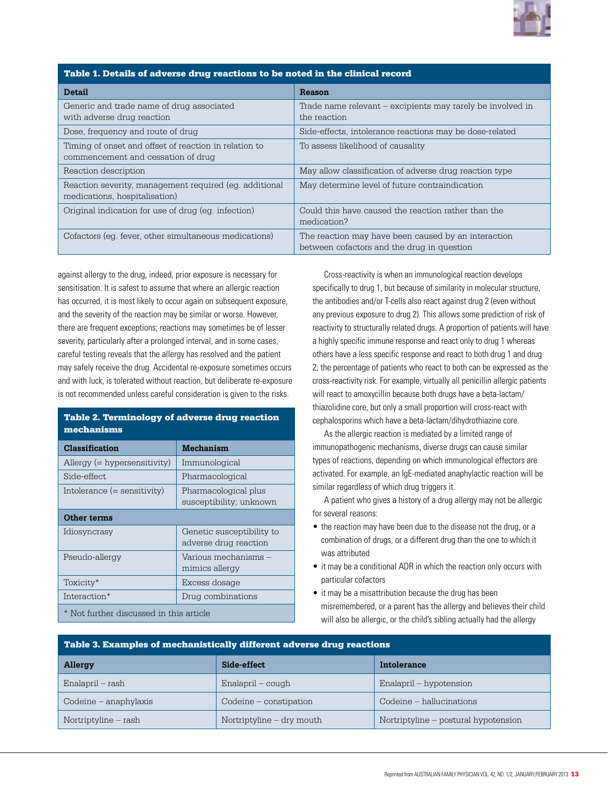

|  |  | Table 1. Details of adverse drug reactions to be noted in the clinical record |
|--|--|-------------------------------------------------------------------------------|
|--|--|-------------------------------------------------------------------------------|

| <b>Detail</b>                                          | Reason                                                     |  |
|--------------------------------------------------------|------------------------------------------------------------|--|
| Generic and trade name of drug associated              | Trade name relevant – excipients may rarely be involved in |  |
| with adverse drug reaction                             | the reaction                                               |  |
| Dose, frequency and route of drug                      | Side-effects, intolerance reactions may be dose-related    |  |
| Timing of onset and offset of reaction in relation to  | To assess likelihood of causality                          |  |
| commencement and cessation of drug                     |                                                            |  |
| Reaction description                                   | May allow classification of adverse drug reaction type     |  |
| Reaction severity, management required (eq. additional | May determine level of future contraindication             |  |
| medications, hospitalisation)                          |                                                            |  |
| Original indication for use of drug (eg. infection)    | Could this have caused the reaction rather than the        |  |
|                                                        | medication?                                                |  |
| Cofactors (eq. fever, other simultaneous medications)  | The reaction may have been caused by an interaction        |  |
|                                                        | between cofactors and the drug in question                 |  |

against allergy to the drug, indeed, prior exposure is necessary for sensitisation. It is safest to assume that where an allergic reaction has occurred, it is most likely to occur again on subsequent exposure, and the severity of the reaction may be similar or worse. However, there are frequent exceptions; reactions may sometimes be of lesser severity, particularly after a prolonged interval, and in some cases, careful testing reveals that the allergy has resolved and the patient may safely receive the drug. Accidental re-exposure sometimes occurs and with luck, is tolerated without reaction, but deliberate re-exposure is not recommended unless careful consideration is given to the risks.

# Table 2. Terminology of adverse drug reaction mechanisms

| <b>Classification</b>                   | Mechanism                                          |  |
|-----------------------------------------|----------------------------------------------------|--|
| Allergy $(=$ hypersensitivity)          | Immunological                                      |  |
| Side-effect                             | Pharmacological                                    |  |
| Intolerance $(=$ sensitivity)           | Pharmacological plus<br>susceptibility; unknown    |  |
| Other terms                             |                                                    |  |
| Idiosyncrasy                            | Genetic susceptibility to<br>adverse drug reaction |  |
| Pseudo-allergy                          | Various mechanisms –<br>mimics allergy             |  |
| Toxicity*                               | Excess dosage                                      |  |
| Interaction*                            | Drug combinations                                  |  |
| * Not further discussed in this article |                                                    |  |

Cross-reactivity is when an immunological reaction develops specifically to drug 1, but because of similarity in molecular structure, the antibodies and/or T-cells also react against drug 2 (even without any previous exposure to drug 2). This allows some prediction of risk of reactivity to structurally related drugs. A proportion of patients will have a highly specific immune response and react only to drug 1 whereas others have a less specific response and react to both drug 1 and drug 2; the percentage of patients who react to both can be expressed as the cross-reactivity risk. For example, virtually all penicillin allergic patients will react to amoxycillin because both drugs have a beta-lactam/ thiazolidine core, but only a small proportion will cross-react with cephalosporins which have a beta-lactam/dihydrothiazine core.

As the allergic reaction is mediated by a limited range of immunopathogenic mechanisms, diverse drugs can cause similar types of reactions, depending on which immunological effectors are activated. For example, an IgE-mediated anaphylactic reaction will be similar regardless of which drug triggers it.

A patient who gives a history of a drug allergy may not be allergic for several reasons:

- the reaction may have been due to the disease not the drug, or a combination of drugs, or a different drug than the one to which it was attributed
- it may be a conditional ADR in which the reaction only occurs with particular cofactors
- it may be a misattribution because the drug has been misremembered, or a parent has the allergy and believes their child will also be allergic, or the child's sibling actually had the allergy

| <b>Table 3. Examples of mechanistically different adverse drug reactions</b> |                           |                                      |  |
|------------------------------------------------------------------------------|---------------------------|--------------------------------------|--|
| Allergy                                                                      | Side-effect               | Intolerance                          |  |
| Enalapril – rash                                                             | Enalapril – cough         | Enalapril – hypotension              |  |
| Codeine – anaphylaxis                                                        | $Codeine-constitution$    | Codeine – hallucinations             |  |
| Nortriptyline – rash                                                         | Nortriptyline – dry mouth | Nortriptyline – postural hypotension |  |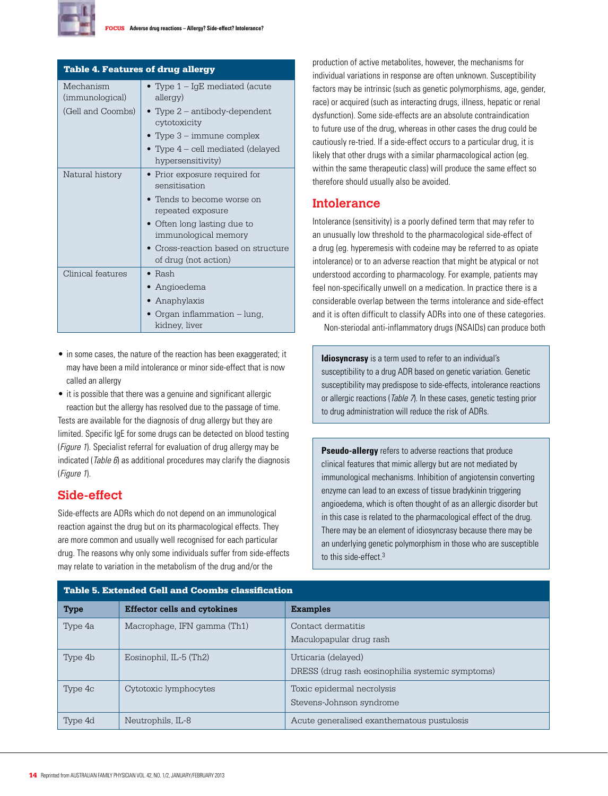

| <b>Table 4. Features of drug allergy</b>          |                                                                                                                                                                                                                                 |  |
|---------------------------------------------------|---------------------------------------------------------------------------------------------------------------------------------------------------------------------------------------------------------------------------------|--|
| Mechanism<br>(immunological)<br>(Gell and Coombs) | • Type $1 - \text{IgE}$ mediated (acute<br>allergy)<br>• Type $2$ – antibody-dependent<br>cytotoxicity<br>• Type $3$ – immune complex<br>• Type $4$ – cell mediated (delayed<br>hypersensitivity)                               |  |
| Natural history                                   | • Prior exposure required for<br>sensitisation<br>• Tends to become worse on<br>repeated exposure<br>• Often long lasting due to<br>immunological memory<br>$\bullet$ Cross-reaction based on structure<br>of drug (not action) |  |
| Clinical features                                 | $\bullet$ Rash<br>• Angioedema<br>Anaphylaxis<br>• Organ inflammation – lung,<br>kidney, liver                                                                                                                                  |  |

- in some cases, the nature of the reaction has been exaggerated; it may have been a mild intolerance or minor side-effect that is now called an allergy
- it is possible that there was a genuine and significant allergic reaction but the allergy has resolved due to the passage of time. Tests are available for the diagnosis of drug allergy but they are limited. Specific IgE for some drugs can be detected on blood testing (Figure 1). Specialist referral for evaluation of drug allergy may be indicated (*Table 6*) as additional procedures may clarify the diagnosis (Figure 1).

# **Side-effect**

Side-effects are ADRs which do not depend on an immunological reaction against the drug but on its pharmacological effects. They are more common and usually well recognised for each particular drug. The reasons why only some individuals suffer from side-effects may relate to variation in the metabolism of the drug and/or the

production of active metabolites, however, the mechanisms for individual variations in response are often unknown. Susceptibility factors may be intrinsic (such as genetic polymorphisms, age, gender, race) or acquired (such as interacting drugs, illness, hepatic or renal dysfunction). Some side-effects are an absolute contraindication to future use of the drug, whereas in other cases the drug could be cautiously re-tried. If a side-effect occurs to a particular drug, it is likely that other drugs with a similar pharmacological action (eg. within the same therapeutic class) will produce the same effect so therefore should usually also be avoided.

# **Intolerance**

Intolerance (sensitivity) is a poorly defined term that may refer to an unusually low threshold to the pharmacological side-effect of a drug (eg. hyperemesis with codeine may be referred to as opiate intolerance) or to an adverse reaction that might be atypical or not understood according to pharmacology. For example, patients may feel non-specifically unwell on a medication. In practice there is a considerable overlap between the terms intolerance and side-effect and it is often difficult to classify ADRs into one of these categories.

Non-steriodal anti-inflammatory drugs (NSAIDs) can produce both

**Idiosyncrasy** is a term used to refer to an individual's susceptibility to a drug ADR based on genetic variation. Genetic susceptibility may predispose to side-effects, intolerance reactions or allergic reactions (Table 7). In these cases, genetic testing prior to drug administration will reduce the risk of ADRs.

**Pseudo-allergy** refers to adverse reactions that produce clinical features that mimic allergy but are not mediated by immunological mechanisms. Inhibition of angiotensin converting enzyme can lead to an excess of tissue bradykinin triggering angioedema, which is often thought of as an allergic disorder but in this case is related to the pharmacological effect of the drug. There may be an element of idiosyncrasy because there may be an underlying genetic polymorphism in those who are susceptible to this side-effect.<sup>3</sup>

| Table J. EAtenued Gen and Coombs Classmeation |                                     |                                                                         |
|-----------------------------------------------|-------------------------------------|-------------------------------------------------------------------------|
| <b>Type</b>                                   | <b>Effector cells and cytokines</b> | <b>Examples</b>                                                         |
| Type 4a                                       | Macrophage, IFN gamma (Th1)         | Contact dermatitis<br>Maculopapular drug rash                           |
| Type 4b                                       | Eosinophil, IL-5 (Th2)              | Urticaria (delayed)<br>DRESS (drug rash eosinophilia systemic symptoms) |
| Type 4c                                       | Cytotoxic lymphocytes               | Toxic epidermal necrolysis<br>Stevens-Johnson syndrome                  |
| Type 4d                                       | Neutrophils, IL-8                   | Acute generalised exanthematous pustulosis                              |

## Table 5. Extended Gell and Coombs classification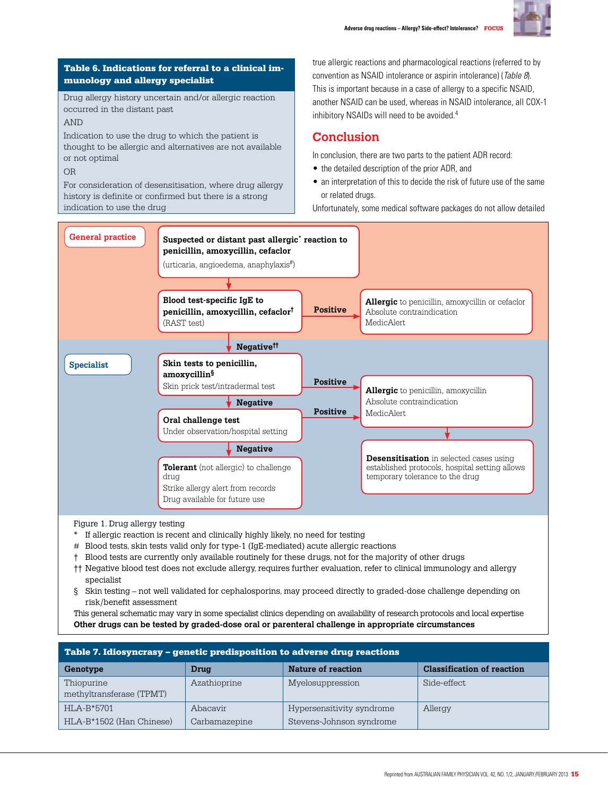

# Table 6. Indications for referral to a clinical immunology and allergy specialist

Drug allergy history uncertain and/or allergic reaction occurred in the distant past

AND

Indication to use the drug to which the patient is thought to be allergic and alternatives are not available or not optimal

OR

For consideration of desensitisation, where drug allergy history is definite or confirmed but there is a strong indication to use the drug

true allergic reactions and pharmacological reactions (referred to by convention as NSAID intolerance or aspirin intolerance) (Table 8). This is important because in a case of allergy to a specific NSAID, another NSAID can be used, whereas in NSAID intolerance, all COX-1 inhibitory NSAIDs will need to be avoided.4

# **Conclusion**

In conclusion, there are two parts to the patient ADR record:

- the detailed description of the prior ADR, and
- an interpretation of this to decide the risk of future use of the same or related drugs.

Unfortunately, some medical software packages do not allow detailed



- specialist
- § Skin testing not well validated for cephalosporins, may proceed directly to graded-dose challenge depending on risk/benefit assessment

This general schematic may vary in some specialist clinics depending on availability of research protocols and local expertise **Other drugs can be tested by graded-dose oral or parenteral challenge in appropriate circumstances**

| Table 7. Idiosyncrasy – genetic predisposition to adverse drug reactions |               |                           |                                   |
|--------------------------------------------------------------------------|---------------|---------------------------|-----------------------------------|
| Genotype                                                                 | Drug          | <b>Nature of reaction</b> | <b>Classification of reaction</b> |
| Thiopurine<br>methyltransferase (TPMT)                                   | Azathioprine  | Myelosuppression          | Side-effect                       |
| $HI.A-B*5701$                                                            | Abacavir      | Hypersensitivity syndrome | Allergy                           |
| HLA-B*1502 (Han Chinese)                                                 | Carbamazepine | Stevens-Johnson syndrome  |                                   |